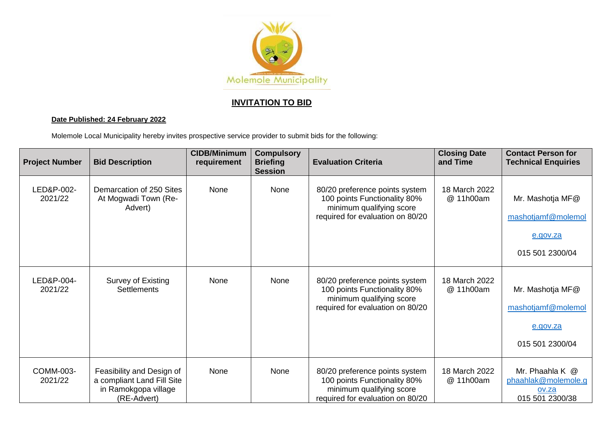

## **INVITATION TO BID**

## **Date Published: 24 February 2022**

Molemole Local Municipality hereby invites prospective service provider to submit bids for the following:

| <b>Project Number</b> | <b>Bid Description</b>                                                                         | <b>CIDB/Minimum</b><br>requirement | <b>Compulsory</b><br><b>Briefing</b><br><b>Session</b> | <b>Evaluation Criteria</b>                                                                                                     | <b>Closing Date</b><br>and Time | <b>Contact Person for</b><br><b>Technical Enquiries</b>               |
|-----------------------|------------------------------------------------------------------------------------------------|------------------------------------|--------------------------------------------------------|--------------------------------------------------------------------------------------------------------------------------------|---------------------------------|-----------------------------------------------------------------------|
| LED&P-002-<br>2021/22 | Demarcation of 250 Sites<br>At Mogwadi Town (Re-<br>Advert)                                    | None                               | None                                                   | 80/20 preference points system<br>100 points Functionality 80%<br>minimum qualifying score<br>required for evaluation on 80/20 | 18 March 2022<br>@ 11h00am      | Mr. Mashotja MF@<br>mashotjamf@molemol<br>e.gov.za<br>015 501 2300/04 |
| LED&P-004-<br>2021/22 | Survey of Existing<br><b>Settlements</b>                                                       | None                               | None                                                   | 80/20 preference points system<br>100 points Functionality 80%<br>minimum qualifying score<br>required for evaluation on 80/20 | 18 March 2022<br>@ 11h00am      | Mr. Mashotja MF@<br>mashotjamf@molemol<br>e.gov.za<br>015 501 2300/04 |
| COMM-003-<br>2021/22  | Feasibility and Design of<br>a compliant Land Fill Site<br>in Ramokgopa village<br>(RE-Advert) | None                               | None                                                   | 80/20 preference points system<br>100 points Functionality 80%<br>minimum qualifying score<br>required for evaluation on 80/20 | 18 March 2022<br>@ 11h00am      | Mr. Phaahla K @<br>phaahlak@molemole.g<br>ov.za<br>015 501 2300/38    |